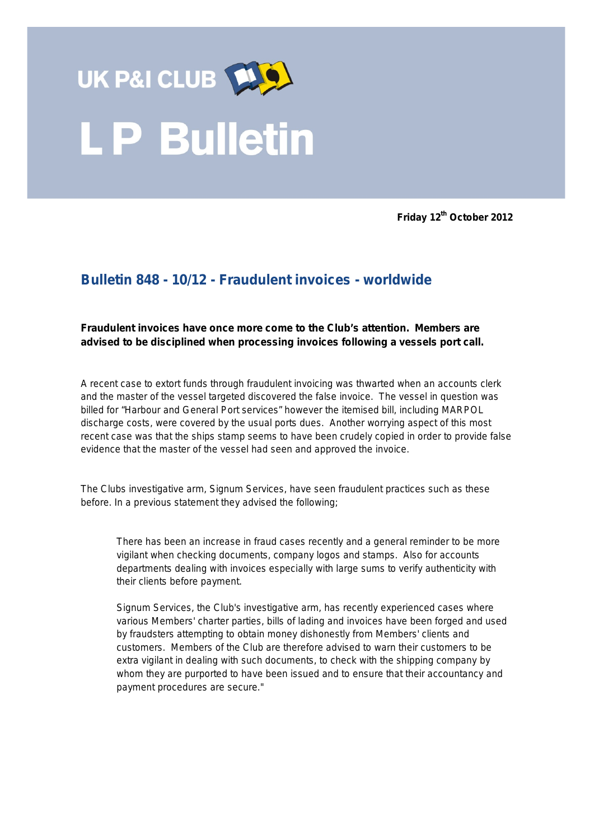

**Friday 12th October 2012**

## **Bulletin 848 - 10/12 - Fraudulent invoices - worldwide**

## **Fraudulent invoices have once more come to the Club's attention. Members are advised to be disciplined when processing invoices following a vessels port call.**

A recent case to extort funds through fraudulent invoicing was thwarted when an accounts clerk and the master of the vessel targeted discovered the false invoice. The vessel in question was billed for "Harbour and General Port services" however the itemised bill, including MARPOL discharge costs, were covered by the usual ports dues. Another worrying aspect of this most recent case was that the ships stamp seems to have been crudely copied in order to provide false evidence that the master of the vessel had seen and approved the invoice.

The Clubs investigative arm, Signum Services, have seen fraudulent practices such as these before. In a previous statement they advised the following;

There has been an increase in fraud cases recently and a general reminder to be more vigilant when checking documents, company logos and stamps. Also for accounts departments dealing with invoices especially with large sums to verify authenticity with their clients before payment.

Signum Services, the Club's investigative arm, has recently experienced cases where various Members' charter parties, bills of lading and invoices have been forged and used by fraudsters attempting to obtain money dishonestly from Members' clients and customers. Members of the Club are therefore advised to warn their customers to be extra vigilant in dealing with such documents, to check with the shipping company by whom they are purported to have been issued and to ensure that their accountancy and payment procedures are secure."